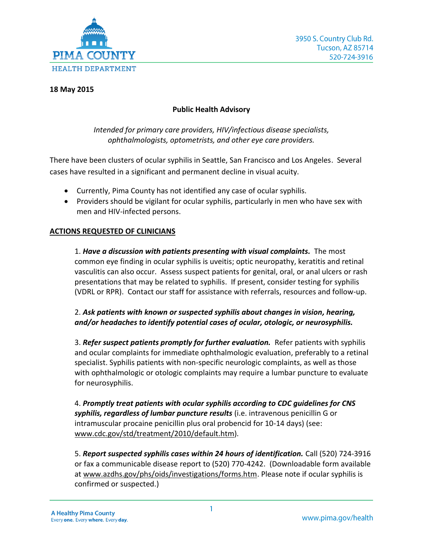

### **18 May 2015**

## **Public Health Advisory**

## *Intended for primary care providers, HIV/infectious disease specialists, ophthalmologists, optometrists, and other eye care providers.*

There have been clusters of ocular syphilis in Seattle, San Francisco and Los Angeles. Several cases have resulted in a significant and permanent decline in visual acuity.

- Currently, Pima County has not identified any case of ocular syphilis.
- Providers should be vigilant for ocular syphilis, particularly in men who have sex with men and HIV‐infected persons.

# **ACTIONS REQUESTED OF CLINICIANS**

1. *Have a discussion with patients presenting with visual complaints.* The most common eye finding in ocular syphilis is uveitis; optic neuropathy, keratitis and retinal vasculitis can also occur. Assess suspect patients for genital, oral, or anal ulcers or rash presentations that may be related to syphilis. If present, consider testing for syphilis (VDRL or RPR). Contact our staff for assistance with referrals, resources and follow-up.

# 2. *Ask patients with known or suspected syphilis about changes in vision, hearing, and/or headaches to identify potential cases of ocular, otologic, or neurosyphilis.*

3. *Refer suspect patients promptly for further evaluation.* Refer patients with syphilis and ocular complaints for immediate ophthalmologic evaluation, preferably to a retinal specialist. Syphilis patients with non-specific neurologic complaints, as well as those with ophthalmologic or otologic complaints may require a lumbar puncture to evaluate for neurosyphilis.

4. *Promptly treat patients with ocular syphilis according to CDC guidelines for CNS syphilis, regardless of lumbar puncture results* (i.e. intravenous penicillin G or intramuscular procaine penicillin plus oral probencid for 10-14 days) (see: [www.cdc.gov/std/treatment/2010/default.htm\)](http://www.cdc.gov/std/treatment/2010/default.htm).

5. *Report suspected syphilis cases within 24 hours of identification.* Call (520) 724‐3916 or fax a communicable disease report to (520) 770‐4242. (Downloadable form available at [www.azdhs.gov/phs/oids/investigations/forms.htm.](http://www.azdhs.gov/phs/oids/investigations/forms.htm) Please note if ocular syphilis is confirmed or suspected.)